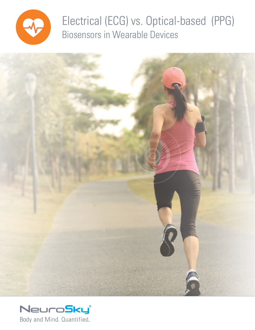

Electrical (ECG) vs. Optical-based (PPG) Biosensors in Wearable Devices



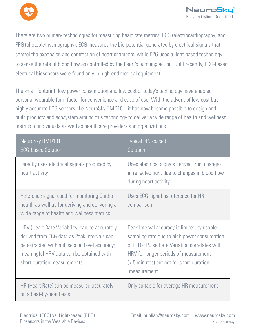

There are two primary technologies for measuring heart rate metrics: ECG (electrocardiography) and PPG (photoplethysmography). ECG measures the bio-potential generated by electrical signals that control the expansion and contraction of heart chambers, while PPG uses a light-based technology to sense the rate of blood flow as controlled by the heart's pumping action. Until recently, ECG-based electrical biosensors were found only in high-end medical equipment.

The small footprint, low power consumption and low cost of today's technology have enabled personal wearable form factor for convenience and ease of use. With the advent of low cost but highly accurate ECG sensors like NeuroSky BMD101, it has now become possible to design and build products and ecosystem around this technology to deliver a wide range of health and wellness metrics to individuals as well as healthcare providers and organizations.

| NeuroSky BMD101<br><b>ECG-based Solution</b>                                                                                                                                                                              | <b>Typical PPG-based</b><br>Solution                                                                                                                                                                                                            |
|---------------------------------------------------------------------------------------------------------------------------------------------------------------------------------------------------------------------------|-------------------------------------------------------------------------------------------------------------------------------------------------------------------------------------------------------------------------------------------------|
| Directly uses electrical signals produced by<br>heart activity                                                                                                                                                            | Uses electrical signals derived from changes<br>in reflected light due to changes in blood flow<br>during heart activity                                                                                                                        |
| Reference signal used for monitoring Cardio<br>health as well as for deriving and delivering a<br>wide range of health and wellness metrics                                                                               | Uses ECG signal as reference for HR<br>comparison                                                                                                                                                                                               |
| HRV (Heart Rate Variability) can be accurately<br>derived from ECG data as Peak Intervals can<br>be extracted with millisecond level accuracy;<br>meaningful HRV data can be obtained with<br>short-duration measurements | Peak Interval accuracy is limited by usable<br>sampling rate due to high power consumption<br>of LEDs; Pulse Rate Variation correlates with<br>HRV for longer periods of measurement<br>(> 5 minutes) but not for short-duration<br>measurement |
| HR (Heart Rate) can be measured accurately<br>on a beat-by-beat basis                                                                                                                                                     | Only suitable for average HR measurement                                                                                                                                                                                                        |